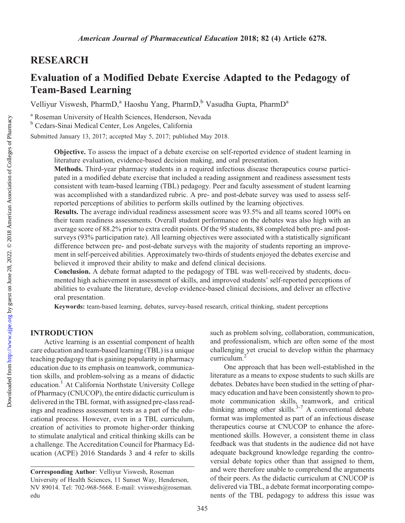# RESEARCH

# Evaluation of a Modified Debate Exercise Adapted to the Pedagogy of Team-Based Learning

Velliyur Viswesh, PharmD,<sup>a</sup> Haoshu Yang, PharmD,<sup>b</sup> Vasudha Gupta, PharmD<sup>a</sup>

<sup>a</sup> Roseman University of Health Sciences, Henderson, Nevada

<sup>b</sup> Cedars-Sinai Medical Center, Los Angeles, California

Submitted January 13, 2017; accepted May 5, 2017; published May 2018.

Objective. To assess the impact of a debate exercise on self-reported evidence of student learning in literature evaluation, evidence-based decision making, and oral presentation.

Methods. Third-year pharmacy students in a required infectious disease therapeutics course participated in a modified debate exercise that included a reading assignment and readiness assessment tests consistent with team-based learning (TBL) pedagogy. Peer and faculty assessment of student learning was accomplished with a standardized rubric. A pre- and post-debate survey was used to assess selfreported perceptions of abilities to perform skills outlined by the learning objectives.

Results. The average individual readiness assessment score was 93.5% and all teams scored 100% on their team readiness assessments. Overall student performance on the debates was also high with an average score of 88.2% prior to extra credit points. Of the 95 students, 88 completed both pre- and postsurveys (93% participation rate). All learning objectives were associated with a statistically significant difference between pre- and post-debate surveys with the majority of students reporting an improvement in self-perceived abilities. Approximately two-thirds of students enjoyed the debates exercise and believed it improved their ability to make and defend clinical decisions.

Conclusion. A debate format adapted to the pedagogy of TBL was well-received by students, documented high achievement in assessment of skills, and improved students' self-reported perceptions of abilities to evaluate the literature, develop evidence-based clinical decisions, and deliver an effective oral presentation.

Keywords: team-based learning, debates, survey-based research, critical thinking, student perceptions

#### INTRODUCTION

Active learning is an essential component of health care education and team-based learning (TBL) is a unique teaching pedagogy that is gaining popularity in pharmacy education due to its emphasis on teamwork, communication skills, and problem-solving as a means of didactic education.1 At California Northstate University College of Pharmacy (CNUCOP), the entire didactic curriculum is delivered in the TBL format, with assigned pre-class readings and readiness assessment tests as a part of the educational process. However, even in a TBL curriculum, creation of activities to promote higher-order thinking to stimulate analytical and critical thinking skills can be a challenge. The Accreditation Council for Pharmacy Education (ACPE) 2016 Standards 3 and 4 refer to skills

such as problem solving, collaboration, communication, and professionalism, which are often some of the most challenging yet crucial to develop within the pharmacy curriculum.2

One approach that has been well-established in the literature as a means to expose students to such skills are debates. Debates have been studied in the setting of pharmacy education and have been consistently shown to promote communication skills, teamwork, and critical thinking among other skills. $3-7$  A conventional debate format was implemented as part of an infectious disease therapeutics course at CNUCOP to enhance the aforementioned skills. However, a consistent theme in class feedback was that students in the audience did not have adequate background knowledge regarding the controversial debate topics other than that assigned to them, and were therefore unable to comprehend the arguments of their peers. As the didactic curriculum at CNUCOP is delivered via TBL, a debate format incorporating components of the TBL pedagogy to address this issue was

Corresponding Author: Velliyur Viswesh, Roseman University of Health Sciences, 11 Sunset Way, Henderson, NV 89014. Tel: 702-968-5668. E-mail: [vviswesh@roseman.](mailto:vviswesh@roseman.edu) [edu](mailto:vviswesh@roseman.edu)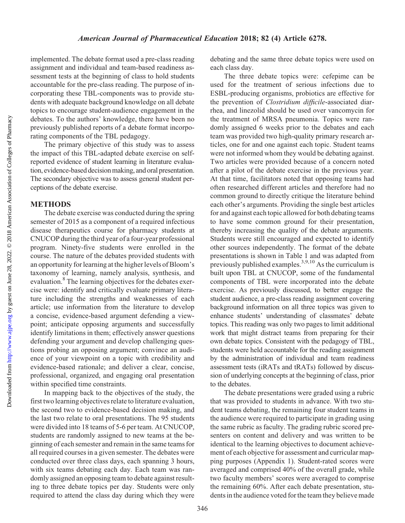Downloaded from

implemented. The debate format used a pre-class reading assignment and individual and team-based readiness assessment tests at the beginning of class to hold students accountable for the pre-class reading. The purpose of incorporating these TBL-components was to provide students with adequate background knowledge on all debate topics to encourage student-audience engagement in the debates. To the authors' knowledge, there have been no previously published reports of a debate format incorporating components of the TBL pedagogy.

The primary objective of this study was to assess the impact of this TBL-adapted debate exercise on selfreported evidence of student learning in literature evaluation, evidence-based decision making, and oral presentation. The secondary objective was to assess general student perceptions of the debate exercise.

### METHODS

The debate exercise was conducted during the spring semester of 2015 as a component of a required infectious disease therapeutics course for pharmacy students at CNUCOP during the third year of a four-year professional program. Ninety-five students were enrolled in the course. The nature of the debates provided students with an opportunity for learning at the higher levels of Bloom's taxonomy of learning, namely analysis, synthesis, and evaluation.<sup>8</sup> The learning objectives for the debates exercise were: identify and critically evaluate primary literature including the strengths and weaknesses of each article; use information from the literature to develop a concise, evidence-based argument defending a viewpoint; anticipate opposing arguments and successfully identify limitations in them; effectively answer questions defending your argument and develop challenging questions probing an opposing argument; convince an audience of your viewpoint on a topic with credibility and evidence-based rationale; and deliver a clear, concise, professional, organized, and engaging oral presentation within specified time constraints.

In mapping back to the objectives of the study, the first two learning objectives relate to literature evaluation, the second two to evidence-based decision making, and the last two relate to oral presentations. The 95 students were divided into 18 teams of 5-6 per team. At CNUCOP, students are randomly assigned to new teams at the beginning of each semester and remain in the same teams for all required courses in a given semester. The debates were conducted over three class days, each spanning 3 hours, with six teams debating each day. Each team was randomly assigned an opposing team to debate against resulting to three debate topics per day. Students were only required to attend the class day during which they were debating and the same three debate topics were used on each class day.

The three debate topics were: cefepime can be used for the treatment of serious infections due to ESBL-producing organisms, probiotics are effective for the prevention of Clostridium difficile-associated diarrhea, and linezolid should be used over vancomycin for the treatment of MRSA pneumonia. Topics were randomly assigned 6 weeks prior to the debates and each team was provided two high-quality primary research articles, one for and one against each topic. Student teams were not informed whom they would be debating against. Two articles were provided because of a concern noted after a pilot of the debate exercise in the previous year. At that time, facilitators noted that opposing teams had often researched different articles and therefore had no common ground to directly critique the literature behind each other's arguments. Providing the single best articles for and against each topic allowed for both debating teams to have some common ground for their presentation, thereby increasing the quality of the debate arguments. Students were still encouraged and expected to identify other sources independently. The format of the debate presentations is shown in Table 1 and was adapted from previously published examples.<sup>3,9,10</sup> As the curriculum is built upon TBL at CNUCOP, some of the fundamental components of TBL were incorporated into the debate exercise. As previously discussed, to better engage the student audience, a pre-class reading assignment covering background information on all three topics was given to enhance students' understanding of classmates' debate topics. This reading was only two pages to limit additional work that might distract teams from preparing for their own debate topics. Consistent with the pedagogy of TBL, students were held accountable for the reading assignment by the administration of individual and team readiness assessment tests (iRATs and tRATs) followed by discussion of underlying concepts at the beginning of class, prior to the debates.

The debate presentations were graded using a rubric that was provided to students in advance. With two student teams debating, the remaining four student teams in the audience were required to participate in grading using the same rubric as faculty. The grading rubric scored presenters on content and delivery and was written to be identical to the learning objectives to document achievement of each objective for assessment and curricular mapping purposes (Appendix 1). Student-rated scores were averaged and comprised 40% of the overall grade, while two faculty members' scores were averaged to comprise the remaining 60%. After each debate presentation, students in the audience voted for the team they believe made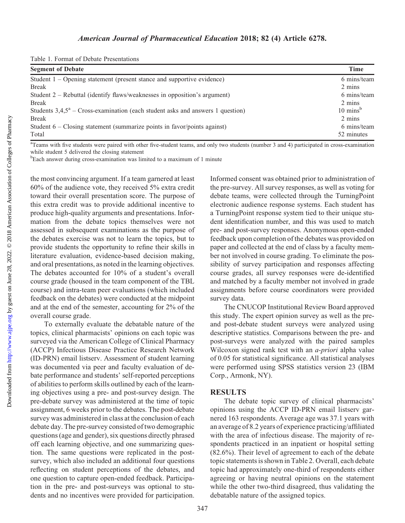|  |  |  | Table 1. Format of Debate Presentations |
|--|--|--|-----------------------------------------|
|--|--|--|-----------------------------------------|

| <b>Segment of Debate</b>                                                          | <b>Time</b>         |
|-----------------------------------------------------------------------------------|---------------------|
| Student $1 -$ Opening statement (present stance and supportive evidence)          | 6 mins/team         |
| <b>Break</b>                                                                      | 2 mins              |
| Student $2$ – Rebuttal (identify flaws/weaknesses in opposition's argument)       | 6 mins/team         |
| <b>Break</b>                                                                      | 2 mins              |
| Students $3,4,5^a$ – Cross-examination (each student asks and answers 1 question) | $10 \text{ mins}^b$ |
| <b>Break</b>                                                                      | 2 mins              |
| Student $6 - \text{Closing statement}$ (summarize points in favor/points against) | 6 mins/team         |
| Total                                                                             | 52 minutes          |

<sup>a</sup> Teams with five students were paired with other five-student teams, and only two students (number 3 and 4) participated in cross-examination while student 5 delivered the closing statement

<sup>b</sup>Each answer during cross-examination was limited to a maximum of 1 minute

the most convincing argument. If a team garnered at least 60% of the audience vote, they received 5% extra credit toward their overall presentation score. The purpose of this extra credit was to provide additional incentive to produce high-quality arguments and presentations. Information from the debate topics themselves were not assessed in subsequent examinations as the purpose of the debates exercise was not to learn the topics, but to provide students the opportunity to refine their skills in literature evaluation, evidence-based decision making, and oral presentations, as noted in the learning objectives. The debates accounted for 10% of a student's overall course grade (housed in the team component of the TBL course) and intra-team peer evaluations (which included feedback on the debates) were conducted at the midpoint and at the end of the semester, accounting for 2% of the overall course grade.

To externally evaluate the debatable nature of the topics, clinical pharmacists' opinions on each topic was surveyed via the American College of Clinical Pharmacy (ACCP) Infectious Disease Practice Research Network (ID-PRN) email listserv. Assessment of student learning was documented via peer and faculty evaluation of debate performance and students' self-reported perceptions of abilities to perform skills outlined by each of the learning objectives using a pre- and post-survey design. The pre-debate survey was administered at the time of topic assignment, 6 weeks prior to the debates. The post-debate survey was administered in class at the conclusion of each debate day. The pre-survey consisted of two demographic questions (age and gender), six questions directly phrased off each learning objective, and one summarizing question. The same questions were replicated in the postsurvey, which also included an additional four questions reflecting on student perceptions of the debates, and one question to capture open-ended feedback. Participation in the pre- and post-surveys was optional to students and no incentives were provided for participation.

Informed consent was obtained prior to administration of the pre-survey. All survey responses, as well as voting for debate teams, were collected through the TurningPoint electronic audience response systems. Each student has a TurningPoint response system tied to their unique student identification number, and this was used to match pre- and post-survey responses. Anonymous open-ended feedback upon completion of the debates was provided on paper and collected at the end of class by a faculty member not involved in course grading. To eliminate the possibility of survey participation and responses affecting course grades, all survey responses were de-identified and matched by a faculty member not involved in grade assignments before course coordinators were provided survey data.

The CNUCOP Institutional Review Board approved this study. The expert opinion survey as well as the preand post-debate student surveys were analyzed using descriptive statistics. Comparisons between the pre- and post-surveys were analyzed with the paired samples Wilcoxon signed rank test with an *a-priori* alpha value of 0.05 for statistical significance. All statistical analyses were performed using SPSS statistics version 23 (IBM Corp., Armonk, NY).

#### **RESULTS**

The debate topic survey of clinical pharmacists' opinions using the ACCP ID-PRN email listserv garnered 163 respondents. Average age was 37.1 years with an average of 8.2 years of experience practicing/affiliated with the area of infectious disease. The majority of respondents practiced in an inpatient or hospital setting (82.6%). Their level of agreement to each of the debate topic statements is shown in Table 2. Overall, each debate topic had approximately one-third of respondents either agreeing or having neutral opinions on the statement while the other two-third disagreed, thus validating the debatable nature of the assigned topics.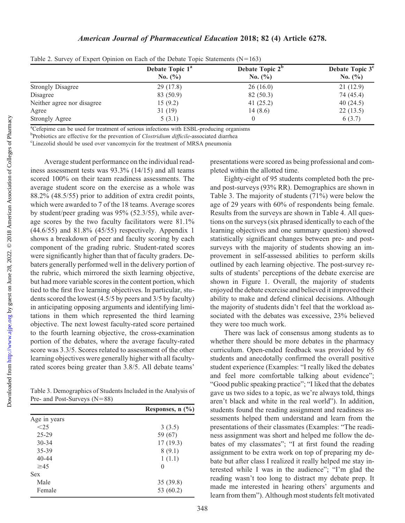|                            | Debate Topic 1 <sup>a</sup> | Debate Topic 2 <sup>b</sup> | Debate Topic 3 <sup>c</sup> |  |  |
|----------------------------|-----------------------------|-----------------------------|-----------------------------|--|--|
|                            | No. $(\% )$                 | No. $(\% )$                 | No. $(\% )$                 |  |  |
| <b>Strongly Disagree</b>   | 29 (17.8)                   | 26(16.0)                    | 21(12.9)                    |  |  |
| Disagree                   | 83 (50.9)                   | 82 (50.3)                   | 74 (45.4)                   |  |  |
| Neither agree nor disagree | 15(9.2)                     | 41 $(25.2)$                 | 40 $(24.5)$                 |  |  |
| Agree                      | 31(19)                      | 14(8.6)                     | 22(13.5)                    |  |  |
| Strongly Agree             | 5(3.1)                      |                             | 6(3.7)                      |  |  |

Table 2. Survey of Expert Opinion on Each of the Debate Topic Statements  $(N=163)$ 

<sup>a</sup>Cefepime can be used for treatment of serious infections with ESBL-producing organisms

b Probiotics are effective for the prevention of *Clostridium difficile*-associated diarrhea<br><sup>ET</sup> inezalid should be used over vancomyoin for the treatment of MPSA preumonic

Linezolid should be used over vancomycin for the treatment of MRSA pneumonia

Average student performance on the individual readiness assessment tests was 93.3% (14/15) and all teams scored 100% on their team readiness assessments. The average student score on the exercise as a whole was 88.2% (48.5/55) prior to addition of extra credit points, which were awarded to 7 of the 18 teams. Average scores by student/peer grading was 95% (52.3/55), while average scores by the two faculty facilitators were 81.1% (44.6/55) and 81.8% (45/55) respectively. Appendix 1 shows a breakdown of peer and faculty scoring by each component of the grading rubric. Student-rated scores were significantly higher than that of faculty graders. Debaters generally performed well in the delivery portion of the rubric, which mirrored the sixth learning objective, but had more variable scores in the content portion, which tied to the first five learning objectives. In particular, students scored the lowest (4.5/5 by peers and 3/5 by faculty) in anticipating opposing arguments and identifying limitations in them which represented the third learning objective. The next lowest faculty-rated score pertained to the fourth learning objective, the cross-examination portion of the debates, where the average faculty-rated score was 3.3/5. Scores related to assessment of the other learning objectives were generally higher with all facultyrated scores being greater than 3.8/5. All debate teams'

Table 3. Demographics of Students Included in the Analysis of Pre- and Post-Surveys (N=88)

|              | Responses, $n$ $(\%)$ |
|--------------|-----------------------|
| Age in years |                       |
| $<$ 25       | 3(3.5)                |
| $25 - 29$    | 59 (67)               |
| $30 - 34$    | 17(19.3)              |
| 35-39        | 8(9.1)                |
| 40-44        | 1(1.1)                |
| $\geq 45$    | $\mathbf{0}$          |
| <b>Sex</b>   |                       |
| Male         | 35(39.8)              |
| Female       | 53 (60.2)             |

presentations were scored as being professional and completed within the allotted time.

Eighty-eight of 95 students completed both the preand post-surveys (93% RR). Demographics are shown in Table 3. The majority of students (71%) were below the age of 29 years with 60% of respondents being female. Results from the surveys are shown in Table 4. All questions on the surveys (six phrased identically to each of the learning objectives and one summary question) showed statistically significant changes between pre- and postsurveys with the majority of students showing an improvement in self-assessed abilities to perform skills outlined by each learning objective. The post-survey results of students' perceptions of the debate exercise are shown in Figure 1. Overall, the majority of students enjoyed the debate exercise and believed it improved their ability to make and defend clinical decisions. Although the majority of students didn't feel that the workload associated with the debates was excessive, 23% believed they were too much work.

There was lack of consensus among students as to whether there should be more debates in the pharmacy curriculum. Open-ended feedback was provided by 65 students and anecdotally confirmed the overall positive student experience (Examples: "I really liked the debates and feel more comfortable talking about evidence"; "Good public speaking practice"; "I liked that the debates gave us two sides to a topic, as we're always told, things aren't black and white in the real world"). In addition, students found the reading assignment and readiness assessments helped them understand and learn from the presentations of their classmates (Examples: "The readiness assignment was short and helped me follow the debates of my classmates"; "I at first found the reading assignment to be extra work on top of preparing my debate but after class I realized it really helped me stay interested while I was in the audience"; "I'm glad the reading wasn't too long to distract my debate prep. It made me interested in hearing others' arguments and learn from them"). Although most students felt motivated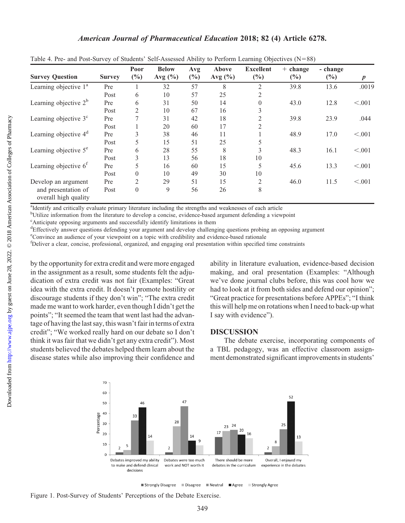| <b>Survey Question</b>                      | <b>Survey</b> | Poor<br>$(\%)$ | <b>Below</b><br>Avg $(\% )$ | Avg<br>$(\%)$ | Above<br>Avg $(\% )$ | <b>Excellent</b><br>(%) | $+ change$<br>$(\%)$ | - change<br>$(\%)$ | $\boldsymbol{p}$ |
|---------------------------------------------|---------------|----------------|-----------------------------|---------------|----------------------|-------------------------|----------------------|--------------------|------------------|
| Learning objective 1 <sup>a</sup>           | Pre           |                | 32                          | 57            | 8                    | 2                       | 39.8                 | 13.6               | .0019            |
|                                             | Post          | 6              | 10                          | 57            | 25                   | 2                       |                      |                    |                  |
| Learning objective $2^b$                    | Pre           | 6              | 31                          | 50            | 14                   | $\theta$                | 43.0                 | 12.8               | < .001           |
|                                             | Post          | $\overline{2}$ | 10                          | 67            | 16                   | 3                       |                      |                    |                  |
| Learning objective $3c$                     | Pre           |                | 31                          | 42            | 18                   | 2                       | 39.8                 | 23.9               | .044             |
|                                             | Post          |                | 20                          | 60            | 17                   | 2                       |                      |                    |                  |
| Learning objective $4d$                     | Pre           | 3              | 38                          | 46            | 11                   |                         | 48.9                 | 17.0               | < .001           |
|                                             | Post          | 5              | 15                          | 51            | 25                   | 5                       |                      |                    |                  |
| Learning objective 5 <sup>e</sup>           | Pre           | 6              | 28                          | 55            | 8                    | 3                       | 48.3                 | 16.1               | < .001           |
|                                             | Post          | 3              | 13                          | 56            | 18                   | 10                      |                      |                    |                  |
| Learning objective $6f$                     | Pre           | 5              | 16                          | 60            | 15                   | 5                       | 45.6                 | 13.3               | < .001           |
|                                             | Post          | $\Omega$       | 10                          | 49            | 30                   | 10                      |                      |                    |                  |
| Develop an argument                         | Pre           | $\mathfrak{D}$ | 29                          | 51            | 15                   | $\overline{2}$          | 46.0                 | 11.5               | < .001           |
| and presentation of<br>overall high quality | Post          | $\theta$       | 9                           | 56            | 26                   | 8                       |                      |                    |                  |

Table 4. Pre- and Post-Survey of Students' Self-Assessed Ability to Perform Learning Objectives (N=88)

<sup>a</sup>Identify and critically evaluate primary literature including the strengths and weaknesses of each article

<sup>b</sup>Utilize information from the literature to develop a concise, evidence-based argument defending a viewpoint

c Anticipate opposing arguments and successfully identify limitations in them

dEffectively answer questions defending your argument and develop challenging questions probing an opposing argument

e Convince an audience of your viewpoint on a topic with credibility and evidence-based rationale

f Deliver a clear, concise, professional, organized, and engaging oral presentation within specified time constraints

by the opportunity for extra credit and were more engaged in the assignment as a result, some students felt the adjudication of extra credit was not fair (Examples: "Great idea with the extra credit. It doesn't promote hostility or discourage students if they don't win"; "The extra credit made me want to work harder, even though I didn't get the points"; "It seemed the team that went last had the advantage of having the last say, this wasn't fair in terms of extra credit"; "We worked really hard on our debate so I don't think it was fair that we didn't get any extra credit"). Most students believed the debates helped them learn about the disease states while also improving their confidence and ability in literature evaluation, evidence-based decision making, and oral presentation (Examples: "Although we've done journal clubs before, this was cool how we had to look at it from both sides and defend our opinion"; "Great practice for presentations before APPEs"; "I think this will help me on rotations when I need to back-up what I say with evidence").

### **DISCUSSION**

The debate exercise, incorporating components of a TBL pedagogy, was an effective classroom assignment demonstrated significant improvements in students'



■ Strongly Disagree ■ Disagree ■ Neutral Agree Strongly Agree

Figure 1. Post-Survey of Students' Perceptions of the Debate Exercise.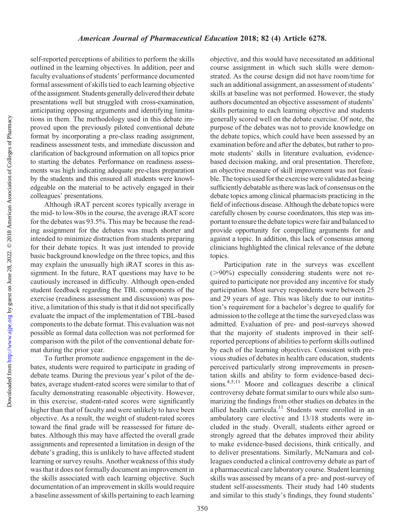Downloaded from http://www.ajpe.org by guest on June 28, 2022. @ 2018 American Association of Colleges of Pharmacy by guest on June 28, 2022. © 2018 American Association of Colleges of Pharmacy <http://www.ajpe.org> Downloaded from

self-reported perceptions of abilities to perform the skills outlined in the learning objectives. In addition, peer and faculty evaluations of students' performance documented formal assessment of skills tied to each learning objective of the assignment. Students generally delivered their debate presentations well but struggled with cross-examination, anticipating opposing arguments and identifying limitations in them. The methodology used in this debate improved upon the previously piloted conventional debate format by incorporating a pre-class reading assignment, readiness assessment tests, and immediate discussion and clarification of background information on all topics prior to starting the debates. Performance on readiness assessments was high indicating adequate pre-class preparation by the students and this ensured all students were knowledgeable on the material to be actively engaged in their colleagues' presentations.

Although iRAT percent scores typically average in the mid- to low-80s in the course, the average iRAT score for the debates was 93.5%. This may be because the reading assignment for the debates was much shorter and intended to minimize distraction from students preparing for their debate topics. It was just intended to provide basic background knowledge on the three topics, and this may explain the unusually high iRAT scores in this assignment. In the future, RAT questions may have to be cautiously increased in difficulty. Although open-ended student feedback regarding the TBL components of the exercise (readiness assessment and discussion) was positive, a limitation of this study is that it did not specifically evaluate the impact of the implementation of TBL-based components to the debate format. This evaluation was not possible as formal data collection was not performed for comparison with the pilot of the conventional debate format during the prior year.

To further promote audience engagement in the debates, students were required to participate in grading of debate teams. During the previous year's pilot of the debates, average student-rated scores were similar to that of faculty demonstrating reasonable objectivity. However, in this exercise, student-rated scores were significantly higher than that of faculty and were unlikely to have been objective. As a result, the weight of student-rated scores toward the final grade will be reassessed for future debates. Although this may have affected the overall grade assignments and represented a limitation in design of the debate's grading, this is unlikely to have affected student learning or survey results. Another weakness of this study was that it does not formally document an improvement in the skills associated with each learning objective. Such documentation of an improvement in skills would require a baseline assessment of skills pertaining to each learning objective, and this would have necessitated an additional course assignment in which such skills were demonstrated. As the course design did not have room/time for such an additional assignment, an assessment of students' skills at baseline was not performed. However, the study authors documented an objective assessment of students' skills pertaining to each learning objective and students generally scored well on the debate exercise. Of note, the purpose of the debates was not to provide knowledge on the debate topics, which could have been assessed by an examination before and after the debates, but rather to promote students' skills in literature evaluation, evidencebased decision making, and oral presentation. Therefore, an objective measure of skill improvement was not feasible. The topics used for the exercise were validated as being sufficiently debatable as there was lack of consensus on the debate topics among clinical pharmacists practicing in the field of infectious disease. Although the debate topics were carefully chosen by course coordinators, this step was important to ensure the debate topics were fair and balanced to provide opportunity for compelling arguments for and against a topic. In addition, this lack of consensus among clinicians highlighted the clinical relevance of the debate topics.

Participation rate in the surveys was excellent  $(>90\%)$  especially considering students were not required to participate nor provided any incentive for study participation. Most survey respondents were between 25 and 29 years of age. This was likely due to our institution's requirement for a bachelor's degree to qualify for admission to the college at the time the surveyed class was admitted. Evaluation of pre- and post-surveys showed that the majority of students improved in their selfreported perceptions of abilities to perform skills outlined by each of the learning objectives. Consistent with previous studies of debates in health care education, students perceived particularly strong improvements in presentation skills and ability to form evidence-based decisions.4,5,11 Moore and colleagues describe a clinical controversy debate format similar to ours while also summarizing the findings from other studies on debates in the allied health curricula.<sup>11</sup> Students were enrolled in an ambulatory care elective and 13/18 students were included in the study. Overall, students either agreed or strongly agreed that the debates improved their ability to make evidence-based decisions, think critically, and to deliver presentations. Similarly, McNamara and colleagues conducted a clinical controversy debate as part of a pharmaceutical care laboratory course. Student learning skills was assessed by means of a pre- and post-survey of student self-assessments. Their study had 140 students and similar to this study's findings, they found students'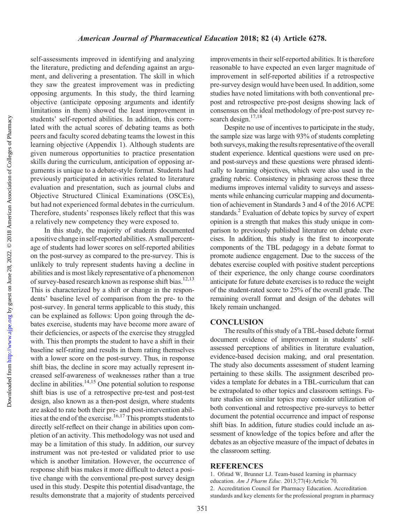self-assessments improved in identifying and analyzing the literature, predicting and defending against an argument, and delivering a presentation. The skill in which they saw the greatest improvement was in predicting opposing arguments. In this study, the third learning objective (anticipate opposing arguments and identify limitations in them) showed the least improvement in students' self-reported abilities. In addition, this correlated with the actual scores of debating teams as both peers and faculty scored debating teams the lowest in this learning objective (Appendix 1). Although students are given numerous opportunities to practice presentation skills during the curriculum, anticipation of opposing arguments is unique to a debate-style format. Students had previously participated in activities related to literature evaluation and presentation, such as journal clubs and Objective Structured Clinical Examinations (OSCEs), but had not experienced formal debates in the curriculum. Therefore, students' responses likely reflect that this was a relatively new competency they were exposed to.

In this study, the majority of students documented a positive change in self-reported abilities. A small percentage of students had lower scores on self-reported abilities on the post-survey as compared to the pre-survey. This is unlikely to truly represent students having a decline in abilities and is most likely representative of a phenomenon of survey-based research known as response shift bias.<sup>12,13</sup> This is characterized by a shift or change in the respondents' baseline level of comparison from the pre- to the post-survey. In general terms applicable to this study, this can be explained as follows: Upon going through the debates exercise, students may have become more aware of their deficiencies, or aspects of the exercise they struggled with. This then prompts the student to have a shift in their baseline self-rating and results in them rating themselves with a lower score on the post-survey. Thus, in response shift bias, the decline in score may actually represent increased self-awareness of weaknesses rather than a true decline in abilities. $14,15$  One potential solution to response shift bias is use of a retrospective pre-test and post-test design, also known as a then-post design, where students are asked to rate both their pre- and post-intervention abilities at the end of the exercise.<sup>16,17</sup> This prompts students to directly self-reflect on their change in abilities upon completion of an activity. This methodology was not used and may be a limitation of this study. In addition, our survey instrument was not pre-tested or validated prior to use which is another limitation. However, the occurrence of response shift bias makes it more difficult to detect a positive change with the conventional pre-post survey design used in this study. Despite this potential disadvantage, the results demonstrate that a majority of students perceived improvements in their self-reported abilities. It is therefore reasonable to have expected an even larger magnitude of improvement in self-reported abilities if a retrospective pre-survey design would have been used. In addition, some studies have noted limitations with both conventional prepost and retrospective pre-post designs showing lack of consensus on the ideal methodology of pre-post survey research design. $17,18$ 

Despite no use of incentives to participate in the study, the sample size was large with 93% of students completing both surveys, making the results representative of the overall student experience. Identical questions were used on preand post-surveys and these questions were phrased identically to learning objectives, which were also used in the grading rubric. Consistency in phrasing across these three mediums improves internal validity to surveys and assessments while enhancing curricular mapping and documentation of achievement in Standards 3 and 4 of the 2016 ACPE standards.<sup>2</sup> Evaluation of debate topics by survey of expert opinion is a strength that makes this study unique in comparison to previously published literature on debate exercises. In addition, this study is the first to incorporate components of the TBL pedagogy in a debate format to promote audience engagement. Due to the success of the debates exercise coupled with positive student perceptions of their experience, the only change course coordinators anticipate for future debate exercises is to reduce the weight of the student-rated score to 25% of the overall grade. The remaining overall format and design of the debates will likely remain unchanged.

# **CONCLUSION**

The results of this study of a TBL-based debate format document evidence of improvement in students' selfassessed perceptions of abilities in literature evaluation, evidence-based decision making, and oral presentation. The study also documents assessment of student learning pertaining to these skills. The assignment described provides a template for debates in a TBL-curriculum that can be extrapolated to other topics and classroom settings. Future studies on similar topics may consider utilization of both conventional and retrospective pre-surveys to better document the potential occurrence and impact of response shift bias. In addition, future studies could include an assessment of knowledge of the topics before and after the debates as an objective measure of the impact of debates in the classroom setting.

## **REFERENCES**

1. Ofstad W, Brunner LJ. Team-based learning in pharmacy education. Am J Pharm Educ. 2013;77(4):Article 70. 2. Accreditation Council for Pharmacy Education. Accreditation standards and key elements for the professional program in pharmacy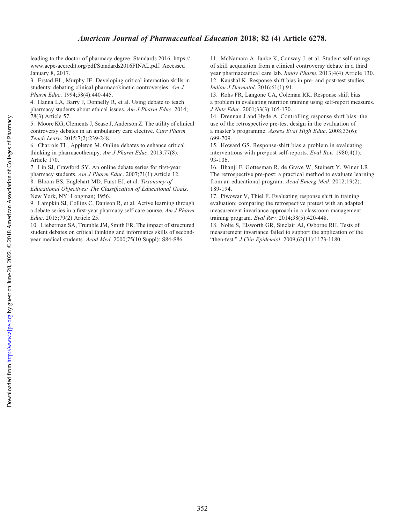#### American Journal of Pharmaceutical Education 2018; 82 (4) Article 6278.

leading to the doctor of pharmacy degree. Standards 2016. [https://](https://www.acpe-accredit.org/pdf/Standards2016FINAL.pdf) [www.acpe-accredit.org/pdf/Standards2016FINAL.pdf.](https://www.acpe-accredit.org/pdf/Standards2016FINAL.pdf) Accessed January 8, 2017.

3. Erstad BL, Murphy JE. Developing critical interaction skills in students: debating clinical pharmacokinetic controversies. Am J Pharm Educ. 1994;58(4):440-445.

4. Hanna LA, Barry J, Donnelly R, et al. Using debate to teach pharmacy students about ethical issues. Am J Pharm Educ. 2014; 78(3):Article 57.

5. Moore KG, Clements J, Sease J, Anderson Z. The utility of clinical controversy debates in an ambulatory care elective. Curr Pharm Teach Learn. 2015;7(2):239-248.

6. Charrois TL, Appleton M. Online debates to enhance critical thinking in pharmacotherapy. Am J Pharm Educ. 2013;77(8): Article 170.

7. Lin SJ, Crawford SY. An online debate series for first-year pharmacy students. Am J Pharm Educ. 2007;71(1):Article 12. 8. Bloom BS, Englehart MD, Furst EJ, et al. Taxonomy of

Educational Objectives: The Classification of Educational Goals. New York, NY: Longman; 1956.

9. Lampkin SJ, Collins C, Danison R, et al. Active learning through a debate series in a first-year pharmacy self-care course. Am J Pharm Educ. 2015;79(2):Article 25.

10. Lieberman SA, Trumble JM, Smith ER. The impact of structured student debates on critical thinking and informatics skills of secondyear medical students. Acad Med. 2000;75(10 Suppl): S84-S86.

11. McNamara A, Janke K, Conway J, et al. Student self-ratings of skill acquisition from a clinical controversy debate in a third year pharmaceutical care lab. Innov Pharm. 2013;4(4):Article 130. 12. Kaushal K. Response shift bias in pre- and post-test studies. Indian J Dermatol. 2016;61(1):91.

13. Rohs FR, Langone CA, Coleman RK. Response shift bias: a problem in evaluating nutrition training using self-report measures. J Nutr Educ. 2001;33(3):165-170.

14. Drennan J and Hyde A. Controlling response shift bias: the use of the retrospective pre-test design in the evaluation of a master's programme. Assess Eval High Educ. 2008;33(6): 699-709.

15. Howard GS. Response-shift bias a problem in evaluating interventions with pre/post self-reports. Eval Rev. 1980;4(1): 93-106.

16. Bhanji F, Gottesman R, de Grave W, Steinert Y, Winer LR. The retrospective pre-post: a practical method to evaluate learning from an educational program. Acad Emerg Med. 2012;19(2): 189-194.

17. Piwowar V, Thiel F. Evaluating response shift in training evaluation: comparing the retrospective pretest with an adapted measurement invariance approach in a classroom management training program. Eval Rev. 2014;38(5):420-448.

18. Nolte S, Elsworth GR, Sinclair AJ, Osborne RH. Tests of measurement invariance failed to support the application of the "then-test." J Clin Epidemiol. 2009;62(11):1173-1180.